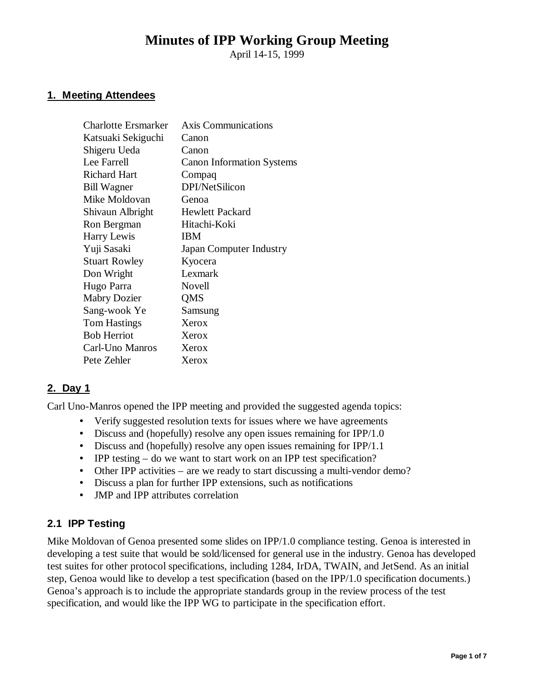# **Minutes of IPP Working Group Meeting**

April 14-15, 1999

### **1. Meeting Attendees**

| <b>Charlotte Ersmarker</b> | <b>Axis Communications</b>       |
|----------------------------|----------------------------------|
| Katsuaki Sekiguchi         | Canon                            |
| Shigeru Ueda               | Canon                            |
| Lee Farrell                | <b>Canon Information Systems</b> |
| <b>Richard Hart</b>        | Compaq                           |
| <b>Bill Wagner</b>         | DPI/NetSilicon                   |
| Mike Moldovan              | Genoa                            |
| Shivaun Albright           | <b>Hewlett Packard</b>           |
| Ron Bergman                | Hitachi-Koki                     |
| Harry Lewis                | IBM                              |
| Yuji Sasaki                | Japan Computer Industry          |
| <b>Stuart Rowley</b>       | Kyocera                          |
| Don Wright                 | Lexmark                          |
| Hugo Parra                 | Novell                           |
| <b>Mabry Dozier</b>        | QMS                              |
| Sang-wook Ye               | Samsung                          |
| <b>Tom Hastings</b>        | Xerox                            |
| <b>Bob Herriot</b>         | Xerox                            |
| Carl-Uno Manros            | Xerox                            |
| Pete Zehler                | Xerox                            |
|                            |                                  |

# **2. Day 1**

Carl Uno-Manros opened the IPP meeting and provided the suggested agenda topics:

- Verify suggested resolution texts for issues where we have agreements
- Discuss and (hopefully) resolve any open issues remaining for IPP/1.0
- Discuss and (hopefully) resolve any open issues remaining for IPP/1.1
- IPP testing do we want to start work on an IPP test specification?
- Other IPP activities are we ready to start discussing a multi-vendor demo?
- Discuss a plan for further IPP extensions, such as notifications
- JMP and IPP attributes correlation

### **2.1 IPP Testing**

Mike Moldovan of Genoa presented some slides on IPP/1.0 compliance testing. Genoa is interested in developing a test suite that would be sold/licensed for general use in the industry. Genoa has developed test suites for other protocol specifications, including 1284, IrDA, TWAIN, and JetSend. As an initial step, Genoa would like to develop a test specification (based on the IPP/1.0 specification documents.) Genoa's approach is to include the appropriate standards group in the review process of the test specification, and would like the IPP WG to participate in the specification effort.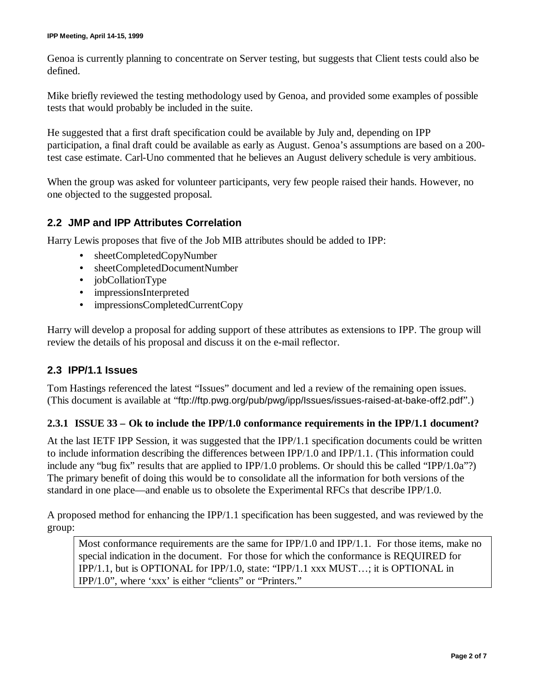Genoa is currently planning to concentrate on Server testing, but suggests that Client tests could also be defined.

Mike briefly reviewed the testing methodology used by Genoa, and provided some examples of possible tests that would probably be included in the suite.

He suggested that a first draft specification could be available by July and, depending on IPP participation, a final draft could be available as early as August. Genoa's assumptions are based on a 200 test case estimate. Carl-Uno commented that he believes an August delivery schedule is very ambitious.

When the group was asked for volunteer participants, very few people raised their hands. However, no one objected to the suggested proposal.

## **2.2 JMP and IPP Attributes Correlation**

Harry Lewis proposes that five of the Job MIB attributes should be added to IPP:

- sheetCompletedCopyNumber
- sheetCompletedDocumentNumber
- jobCollationType
- impressionsInterpreted
- impressionsCompletedCurrentCopy

Harry will develop a proposal for adding support of these attributes as extensions to IPP. The group will review the details of his proposal and discuss it on the e-mail reflector.

#### **2.3 IPP/1.1 Issues**

Tom Hastings referenced the latest "Issues" document and led a review of the remaining open issues. (This document is available at "ftp://ftp.pwg.org/pub/pwg/ipp/Issues/issues-raised-at-bake-off2.pdf".)

#### **2.3.1 ISSUE 33 – Ok to include the IPP/1.0 conformance requirements in the IPP/1.1 document?**

At the last IETF IPP Session, it was suggested that the IPP/1.1 specification documents could be written to include information describing the differences between IPP/1.0 and IPP/1.1. (This information could include any "bug fix" results that are applied to IPP/1.0 problems. Or should this be called "IPP/1.0a"?) The primary benefit of doing this would be to consolidate all the information for both versions of the standard in one place— and enable us to obsolete the Experimental RFCs that describe IPP/1.0.

A proposed method for enhancing the IPP/1.1 specification has been suggested, and was reviewed by the group:

Most conformance requirements are the same for IPP/1.0 and IPP/1.1. For those items, make no special indication in the document. For those for which the conformance is REQUIRED for IPP/1.1, but is OPTIONAL for IPP/1.0, state: "IPP/1.1 xxx MUST… ; it is OPTIONAL in IPP/1.0", where 'xxx' is either "clients" or "Printers."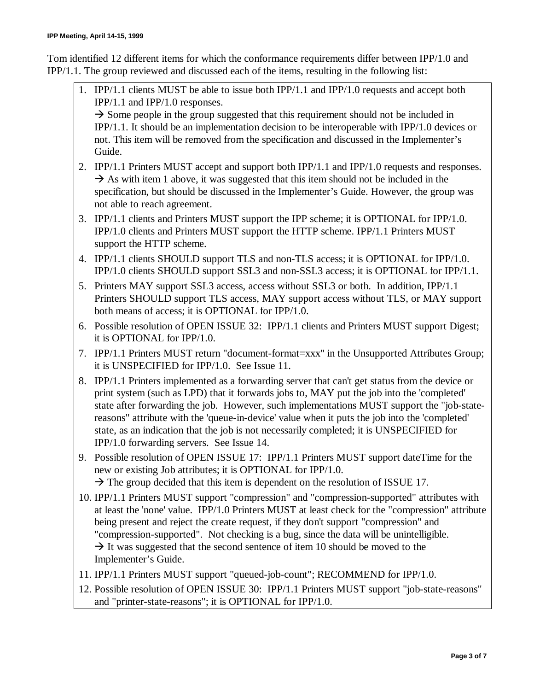Tom identified 12 different items for which the conformance requirements differ between IPP/1.0 and IPP/1.1. The group reviewed and discussed each of the items, resulting in the following list:

1. IPP/1.1 clients MUST be able to issue both IPP/1.1 and IPP/1.0 requests and accept both IPP/1.1 and IPP/1.0 responses.

 $\rightarrow$  Some people in the group suggested that this requirement should not be included in IPP/1.1. It should be an implementation decision to be interoperable with IPP/1.0 devices or not. This item will be removed from the specification and discussed in the Implementer's Guide.

- 2. IPP/1.1 Printers MUST accept and support both IPP/1.1 and IPP/1.0 requests and responses.  $\rightarrow$  As with item 1 above, it was suggested that this item should not be included in the specification, but should be discussed in the Implementer's Guide. However, the group was not able to reach agreement.
- 3. IPP/1.1 clients and Printers MUST support the IPP scheme; it is OPTIONAL for IPP/1.0. IPP/1.0 clients and Printers MUST support the HTTP scheme. IPP/1.1 Printers MUST support the HTTP scheme.
- 4. IPP/1.1 clients SHOULD support TLS and non-TLS access; it is OPTIONAL for IPP/1.0. IPP/1.0 clients SHOULD support SSL3 and non-SSL3 access; it is OPTIONAL for IPP/1.1.
- 5. Printers MAY support SSL3 access, access without SSL3 or both. In addition, IPP/1.1 Printers SHOULD support TLS access, MAY support access without TLS, or MAY support both means of access; it is OPTIONAL for IPP/1.0.
- 6. Possible resolution of OPEN ISSUE 32: IPP/1.1 clients and Printers MUST support Digest; it is OPTIONAL for IPP/1.0.
- 7. IPP/1.1 Printers MUST return "document-format=xxx" in the Unsupported Attributes Group; it is UNSPECIFIED for IPP/1.0. See Issue 11.
- 8. IPP/1.1 Printers implemented as a forwarding server that can't get status from the device or print system (such as LPD) that it forwards jobs to, MAY put the job into the 'completed' state after forwarding the job. However, such implementations MUST support the "job-statereasons" attribute with the 'queue-in-device' value when it puts the job into the 'completed' state, as an indication that the job is not necessarily completed; it is UNSPECIFIED for IPP/1.0 forwarding servers. See Issue 14.
- 9. Possible resolution of OPEN ISSUE 17: IPP/1.1 Printers MUST support dateTime for the new or existing Job attributes; it is OPTIONAL for IPP/1.0.  $\rightarrow$  The group decided that this item is dependent on the resolution of ISSUE 17.
- 10. IPP/1.1 Printers MUST support "compression" and "compression-supported" attributes with at least the 'none' value. IPP/1.0 Printers MUST at least check for the "compression" attribute being present and reject the create request, if they don't support "compression" and "compression-supported". Not checking is a bug, since the data will be unintelligible.  $\rightarrow$  It was suggested that the second sentence of item 10 should be moved to the Implementer's Guide.
- 11. IPP/1.1 Printers MUST support "queued-job-count"; RECOMMEND for IPP/1.0.
- 12. Possible resolution of OPEN ISSUE 30: IPP/1.1 Printers MUST support "job-state-reasons" and "printer-state-reasons"; it is OPTIONAL for IPP/1.0.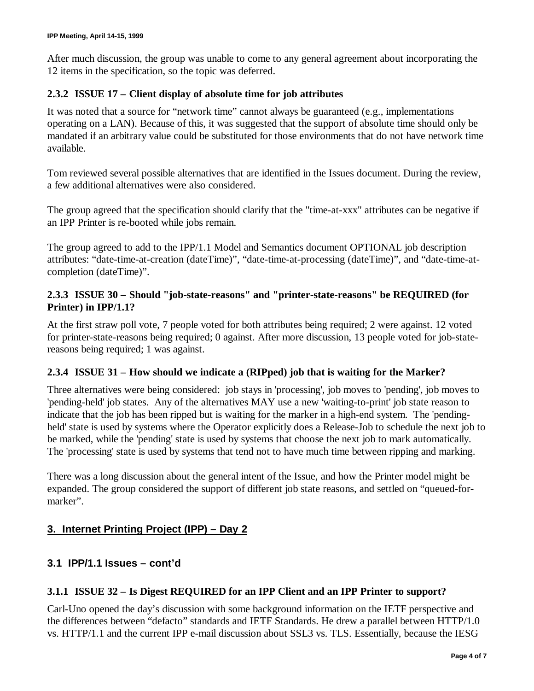After much discussion, the group was unable to come to any general agreement about incorporating the 12 items in the specification, so the topic was deferred.

### **2.3.2 ISSUE 17 – Client display of absolute time for job attributes**

It was noted that a source for "network time" cannot always be guaranteed (e.g., implementations operating on a LAN). Because of this, it was suggested that the support of absolute time should only be mandated if an arbitrary value could be substituted for those environments that do not have network time available.

Tom reviewed several possible alternatives that are identified in the Issues document. During the review, a few additional alternatives were also considered.

The group agreed that the specification should clarify that the "time-at-xxx" attributes can be negative if an IPP Printer is re-booted while jobs remain.

The group agreed to add to the IPP/1.1 Model and Semantics document OPTIONAL job description attributes: "date-time-at-creation (dateTime)", "date-time-at-processing (dateTime)", and "date-time-atcompletion (dateTime)".

### **2.3.3 ISSUE 30 – Should "job-state-reasons" and "printer-state-reasons" be REQUIRED (for Printer) in IPP/1.1?**

At the first straw poll vote, 7 people voted for both attributes being required; 2 were against. 12 voted for printer-state-reasons being required; 0 against. After more discussion, 13 people voted for job-statereasons being required; 1 was against.

### **2.3.4 ISSUE 31 – How should we indicate a (RIPped) job that is waiting for the Marker?**

Three alternatives were being considered: job stays in 'processing', job moves to 'pending', job moves to 'pending-held' job states. Any of the alternatives MAY use a new 'waiting-to-print' job state reason to indicate that the job has been ripped but is waiting for the marker in a high-end system. The 'pendingheld' state is used by systems where the Operator explicitly does a Release-Job to schedule the next job to be marked, while the 'pending' state is used by systems that choose the next job to mark automatically. The 'processing' state is used by systems that tend not to have much time between ripping and marking.

There was a long discussion about the general intent of the Issue, and how the Printer model might be expanded. The group considered the support of different job state reasons, and settled on "queued-formarker".

# **3. Internet Printing Project (IPP) – Day 2**

# **3.1 IPP/1.1 Issues – cont'd**

### **3.1.1 ISSUE 32 – Is Digest REQUIRED for an IPP Client and an IPP Printer to support?**

Carl-Uno opened the day's discussion with some background information on the IETF perspective and the differences between "defacto" standards and IETF Standards. He drew a parallel between HTTP/1.0 vs. HTTP/1.1 and the current IPP e-mail discussion about SSL3 vs. TLS. Essentially, because the IESG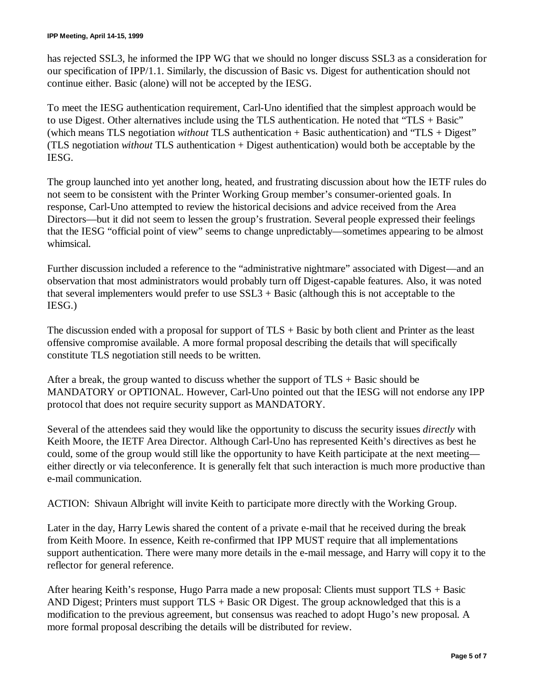has rejected SSL3, he informed the IPP WG that we should no longer discuss SSL3 as a consideration for our specification of IPP/1.1. Similarly, the discussion of Basic vs. Digest for authentication should not continue either. Basic (alone) will not be accepted by the IESG.

To meet the IESG authentication requirement, Carl-Uno identified that the simplest approach would be to use Digest. Other alternatives include using the TLS authentication. He noted that "TLS + Basic" (which means TLS negotiation *without* TLS authentication + Basic authentication) and "TLS + Digest" (TLS negotiation *without* TLS authentication + Digest authentication) would both be acceptable by the IESG.

The group launched into yet another long, heated, and frustrating discussion about how the IETF rules do not seem to be consistent with the Printer Working Group member's consumer-oriented goals. In response, Carl-Uno attempted to review the historical decisions and advice received from the Area Directors— but it did not seem to lessen the group's frustration. Several people expressed their feelings that the IESG "official point of view" seems to change unpredictably— sometimes appearing to be almost whimsical.

Further discussion included a reference to the "administrative nightmare" associated with Digest— and an observation that most administrators would probably turn off Digest-capable features. Also, it was noted that several implementers would prefer to use SSL3 + Basic (although this is not acceptable to the IESG.)

The discussion ended with a proposal for support of  $TLS + Basic$  by both client and Printer as the least offensive compromise available. A more formal proposal describing the details that will specifically constitute TLS negotiation still needs to be written.

After a break, the group wanted to discuss whether the support of TLS + Basic should be MANDATORY or OPTIONAL. However, Carl-Uno pointed out that the IESG will not endorse any IPP protocol that does not require security support as MANDATORY.

Several of the attendees said they would like the opportunity to discuss the security issues *directly* with Keith Moore, the IETF Area Director. Although Carl-Uno has represented Keith's directives as best he could, some of the group would still like the opportunity to have Keith participate at the next meeting either directly or via teleconference. It is generally felt that such interaction is much more productive than e-mail communication.

ACTION: Shivaun Albright will invite Keith to participate more directly with the Working Group.

Later in the day, Harry Lewis shared the content of a private e-mail that he received during the break from Keith Moore. In essence, Keith re-confirmed that IPP MUST require that all implementations support authentication. There were many more details in the e-mail message, and Harry will copy it to the reflector for general reference.

After hearing Keith's response, Hugo Parra made a new proposal: Clients must support TLS + Basic AND Digest; Printers must support  $TLS + Basic OR Digest$ . The group acknowledged that this is a modification to the previous agreement, but consensus was reached to adopt Hugo's new proposal. A more formal proposal describing the details will be distributed for review.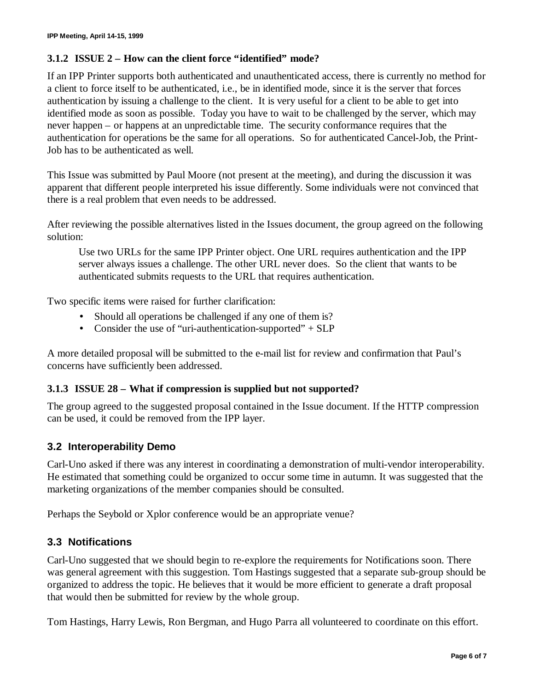### **3.1.2 ISSUE 2 – How can the client force "identified" mode?**

If an IPP Printer supports both authenticated and unauthenticated access, there is currently no method for a client to force itself to be authenticated, i.e., be in identified mode, since it is the server that forces authentication by issuing a challenge to the client. It is very useful for a client to be able to get into identified mode as soon as possible. Today you have to wait to be challenged by the server, which may never happen – or happens at an unpredictable time. The security conformance requires that the authentication for operations be the same for all operations. So for authenticated Cancel-Job, the Print-Job has to be authenticated as well.

This Issue was submitted by Paul Moore (not present at the meeting), and during the discussion it was apparent that different people interpreted his issue differently. Some individuals were not convinced that there is a real problem that even needs to be addressed.

After reviewing the possible alternatives listed in the Issues document, the group agreed on the following solution:

Use two URLs for the same IPP Printer object. One URL requires authentication and the IPP server always issues a challenge. The other URL never does. So the client that wants to be authenticated submits requests to the URL that requires authentication.

Two specific items were raised for further clarification:

- Should all operations be challenged if any one of them is?
- Consider the use of "uri-authentication-supported" + SLP

A more detailed proposal will be submitted to the e-mail list for review and confirmation that Paul's concerns have sufficiently been addressed.

#### **3.1.3 ISSUE 28 – What if compression is supplied but not supported?**

The group agreed to the suggested proposal contained in the Issue document. If the HTTP compression can be used, it could be removed from the IPP layer.

### **3.2 Interoperability Demo**

Carl-Uno asked if there was any interest in coordinating a demonstration of multi-vendor interoperability. He estimated that something could be organized to occur some time in autumn. It was suggested that the marketing organizations of the member companies should be consulted.

Perhaps the Seybold or Xplor conference would be an appropriate venue?

### **3.3 Notifications**

Carl-Uno suggested that we should begin to re-explore the requirements for Notifications soon. There was general agreement with this suggestion. Tom Hastings suggested that a separate sub-group should be organized to address the topic. He believes that it would be more efficient to generate a draft proposal that would then be submitted for review by the whole group.

Tom Hastings, Harry Lewis, Ron Bergman, and Hugo Parra all volunteered to coordinate on this effort.